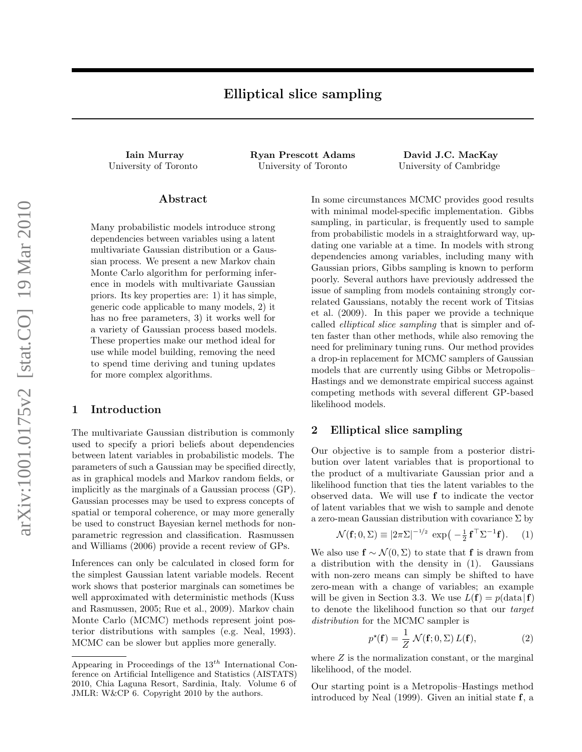Iain Murray Ryan Prescott Adams David J.C. MacKay University of Toronto University of Toronto University of Cambridge

## Abstract

Many probabilistic models introduce strong dependencies between variables using a latent multivariate Gaussian distribution or a Gaussian process. We present a new Markov chain Monte Carlo algorithm for performing inference in models with multivariate Gaussian priors. Its key properties are: 1) it has simple, generic code applicable to many models, 2) it has no free parameters, 3) it works well for a variety of Gaussian process based models. These properties make our method ideal for use while model building, removing the need to spend time deriving and tuning updates for more complex algorithms.

## 1 Introduction

The multivariate Gaussian distribution is commonly used to specify a priori beliefs about dependencies between latent variables in probabilistic models. The parameters of such a Gaussian may be specified directly, as in graphical models and Markov random fields, or implicitly as the marginals of a Gaussian process (GP). Gaussian processes may be used to express concepts of spatial or temporal coherence, or may more generally be used to construct Bayesian kernel methods for nonparametric regression and classification. Rasmussen and Williams (2006) provide a recent review of GPs.

Inferences can only be calculated in closed form for the simplest Gaussian latent variable models. Recent work shows that posterior marginals can sometimes be well approximated with deterministic methods (Kuss and Rasmussen, 2005; Rue et al., 2009). Markov chain Monte Carlo (MCMC) methods represent joint posterior distributions with samples (e.g. Neal, 1993). MCMC can be slower but applies more generally.

In some circumstances MCMC provides good results with minimal model-specific implementation. Gibbs sampling, in particular, is frequently used to sample from probabilistic models in a straightforward way, updating one variable at a time. In models with strong dependencies among variables, including many with Gaussian priors, Gibbs sampling is known to perform poorly. Several authors have previously addressed the issue of sampling from models containing strongly correlated Gaussians, notably the recent work of Titsias et al. (2009). In this paper we provide a technique called elliptical slice sampling that is simpler and often faster than other methods, while also removing the need for preliminary tuning runs. Our method provides a drop-in replacement for MCMC samplers of Gaussian models that are currently using Gibbs or Metropolis– Hastings and we demonstrate empirical success against competing methods with several different GP-based likelihood models.

# 2 Elliptical slice sampling

Our objective is to sample from a posterior distribution over latent variables that is proportional to the product of a multivariate Gaussian prior and a likelihood function that ties the latent variables to the observed data. We will use f to indicate the vector of latent variables that we wish to sample and denote a zero-mean Gaussian distribution with covariance  $\Sigma$  by

$$
\mathcal{N}(\mathbf{f}; 0, \Sigma) \equiv |2\pi\Sigma|^{-1/2} \exp\left(-\frac{1}{2}\mathbf{f}^\top \Sigma^{-1}\mathbf{f}\right). \tag{1}
$$

We also use  $f \sim \mathcal{N}(0, \Sigma)$  to state that f is drawn from a distribution with the density in (1). Gaussians with non-zero means can simply be shifted to have zero-mean with a change of variables; an example will be given in Section 3.3. We use  $L(f) = p(\text{data} | f)$ to denote the likelihood function so that our target distribution for the MCMC sampler is

$$
p^{\star}(\mathbf{f}) = \frac{1}{Z} \mathcal{N}(\mathbf{f}; 0, \Sigma) L(\mathbf{f}), \qquad (2)
$$

where  $Z$  is the normalization constant, or the marginal likelihood, of the model.

Our starting point is a Metropolis–Hastings method introduced by Neal (1999). Given an initial state f, a

Appearing in Proceedings of the  $13^{th}$  International Conference on Artificial Intelligence and Statistics (AISTATS) 2010, Chia Laguna Resort, Sardinia, Italy. Volume 6 of JMLR: W&CP 6. Copyright 2010 by the authors.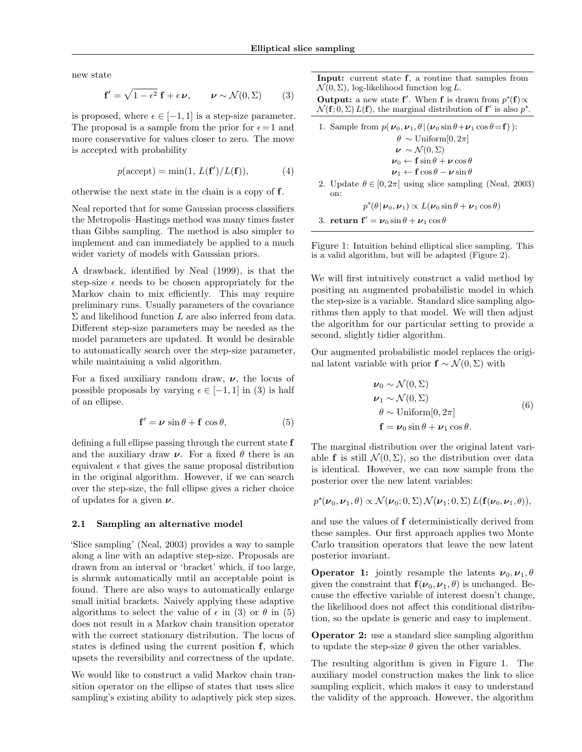new state

$$
\mathbf{f}' = \sqrt{1 - \epsilon^2} \mathbf{f} + \epsilon \boldsymbol{\nu}, \qquad \boldsymbol{\nu} \sim \mathcal{N}(0, \Sigma) \tag{3}
$$

is proposed, where  $\epsilon \in [-1, 1]$  is a step-size parameter. The proposal is a sample from the prior for  $\epsilon = 1$  and more conservative for values closer to zero. The move is accepted with probability

$$
p(\text{accept}) = \min(1, L(\mathbf{f'})/L(\mathbf{f})),\tag{4}
$$

otherwise the next state in the chain is a copy of f.

Neal reported that for some Gaussian process classifiers the Metropolis–Hastings method was many times faster than Gibbs sampling. The method is also simpler to implement and can immediately be applied to a much wider variety of models with Gaussian priors.

A drawback, identified by Neal (1999), is that the step-size  $\epsilon$  needs to be chosen appropriately for the Markov chain to mix efficiently. This may require preliminary runs. Usually parameters of the covariance  $\Sigma$  and likelihood function L are also inferred from data. Different step-size parameters may be needed as the model parameters are updated. It would be desirable to automatically search over the step-size parameter, while maintaining a valid algorithm.

For a fixed auxiliary random draw,  $\nu$ , the locus of possible proposals by varying  $\epsilon \in [-1, 1]$  in (3) is half of an ellipse.

$$
\mathbf{f}' = \boldsymbol{\nu} \, \sin \theta + \mathbf{f} \, \cos \theta,\tag{5}
$$

defining a full ellipse passing through the current state f and the auxiliary draw  $\nu$ . For a fixed  $\theta$  there is an equivalent  $\epsilon$  that gives the same proposal distribution in the original algorithm. However, if we can search over the step-size, the full ellipse gives a richer choice of updates for a given  $\nu$ .

### 2.1 Sampling an alternative model

'Slice sampling' (Neal, 2003) provides a way to sample along a line with an adaptive step-size. Proposals are drawn from an interval or 'bracket' which, if too large, is shrunk automatically until an acceptable point is found. There are also ways to automatically enlarge small initial brackets. Naively applying these adaptive algorithms to select the value of  $\epsilon$  in (3) or  $\theta$  in (5) does not result in a Markov chain transition operator with the correct stationary distribution. The locus of states is defined using the current position f, which upsets the reversibility and correctness of the update.

We would like to construct a valid Markov chain transition operator on the ellipse of states that uses slice sampling's existing ability to adaptively pick step sizes.

Input: current state f, a routine that samples from  $\mathcal{N}(0, \Sigma)$ , log-likelihood function log L.

Output: a new state f'. When f is drawn from  $p^*(f) \propto$  $\mathcal{N}(\mathbf{f};0,\Sigma) L(\mathbf{f})$ , the marginal distribution of  $\mathbf{f}'$  is also  $p^*$ .

\n- 1. Sample from 
$$
p(\nu_0, \nu_1, \theta | (\nu_0 \sin \theta + \nu_1 \cos \theta = \mathbf{f}))
$$
:  $\theta \sim \text{Uniform}[0, 2\pi]$
\n- $\nu \sim \mathcal{N}(0, \Sigma)$
\n- $\nu_0 \leftarrow \mathbf{f} \sin \theta + \nu \cos \theta$
\n- $\nu_1 \leftarrow \mathbf{f} \cos \theta - \nu \sin \theta$
\n- 2. Update  $\theta \in [0, 2\pi]$  using slice sampling (Neal, 2003) on:
\n

 $p^{\star}(\theta | \nu_0, \nu_1) \propto L(\nu_0 \sin \theta + \nu_1 \cos \theta)$ 

3. return  $f' = \nu_0 \sin \theta + \nu_1 \cos \theta$ 

Figure 1: Intuition behind elliptical slice sampling. This is a valid algorithm, but will be adapted (Figure 2).

We will first intuitively construct a valid method by positing an augmented probabilistic model in which the step-size is a variable. Standard slice sampling algorithms then apply to that model. We will then adjust the algorithm for our particular setting to provide a second, slightly tidier algorithm.

Our augmented probabilistic model replaces the original latent variable with prior  $f \sim \mathcal{N}(0, \Sigma)$  with

$$
\nu_0 \sim \mathcal{N}(0, \Sigma)
$$
  
\n
$$
\nu_1 \sim \mathcal{N}(0, \Sigma)
$$
  
\n
$$
\theta \sim \text{Uniform}[0, 2\pi]
$$
  
\n
$$
\mathbf{f} = \nu_0 \sin \theta + \nu_1 \cos \theta.
$$
 (6)

The marginal distribution over the original latent variable f is still  $\mathcal{N}(0, \Sigma)$ , so the distribution over data is identical. However, we can now sample from the posterior over the new latent variables:

$$
p^{\star}(\boldsymbol{\nu}_0,\boldsymbol{\nu}_1,\boldsymbol{\theta}) \propto \mathcal{N}(\boldsymbol{\nu}_0;0,\boldsymbol{\Sigma})\,\mathcal{N}(\boldsymbol{\nu}_1;0,\boldsymbol{\Sigma})\,L(\mathbf{f}(\boldsymbol{\nu}_0,\boldsymbol{\nu}_1,\boldsymbol{\theta})),
$$

and use the values of f deterministically derived from these samples. Our first approach applies two Monte Carlo transition operators that leave the new latent posterior invariant.

**Operator 1:** jointly resample the latents  $v_0$ ,  $v_1$ ,  $\theta$ given the constraint that  $f(\nu_0, \nu_1, \theta)$  is unchanged. Because the effective variable of interest doesn't change, the likelihood does not affect this conditional distribution, so the update is generic and easy to implement.

Operator 2: use a standard slice sampling algorithm to update the step-size  $\theta$  given the other variables.

The resulting algorithm is given in Figure 1. The auxiliary model construction makes the link to slice sampling explicit, which makes it easy to understand the validity of the approach. However, the algorithm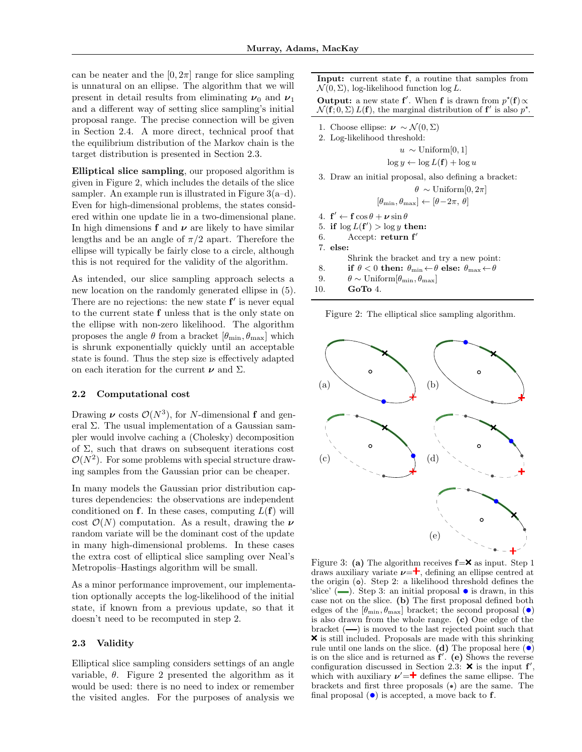can be neater and the  $[0, 2\pi]$  range for slice sampling is unnatural on an ellipse. The algorithm that we will present in detail results from eliminating  $\nu_0$  and  $\nu_1$ and a different way of setting slice sampling's initial proposal range. The precise connection will be given in Section 2.4. A more direct, technical proof that the equilibrium distribution of the Markov chain is the target distribution is presented in Section 2.3.

Elliptical slice sampling, our proposed algorithm is given in Figure 2, which includes the details of the slice sampler. An example run is illustrated in Figure  $3(a-d)$ . Even for high-dimensional problems, the states considered within one update lie in a two-dimensional plane. In high dimensions f and  $\nu$  are likely to have similar lengths and be an angle of  $\pi/2$  apart. Therefore the ellipse will typically be fairly close to a circle, although this is not required for the validity of the algorithm.

As intended, our slice sampling approach selects a new location on the randomly generated ellipse in (5). There are no rejections: the new state  $f'$  is never equal to the current state f unless that is the only state on the ellipse with non-zero likelihood. The algorithm proposes the angle  $\theta$  from a bracket  $[\theta_{\min}, \theta_{\max}]$  which is shrunk exponentially quickly until an acceptable state is found. Thus the step size is effectively adapted on each iteration for the current  $\nu$  and  $\Sigma$ .

### 2.2 Computational cost

Drawing  $\nu$  costs  $\mathcal{O}(N^3)$ , for N-dimensional f and general  $\Sigma$ . The usual implementation of a Gaussian sampler would involve caching a (Cholesky) decomposition of  $\Sigma$ , such that draws on subsequent iterations cost  $\mathcal{O}(N^2)$ . For some problems with special structure drawing samples from the Gaussian prior can be cheaper.

In many models the Gaussian prior distribution captures dependencies: the observations are independent conditioned on f. In these cases, computing  $L(f)$  will cost  $\mathcal{O}(N)$  computation. As a result, drawing the  $\nu$ random variate will be the dominant cost of the update in many high-dimensional problems. In these cases the extra cost of elliptical slice sampling over Neal's Metropolis–Hastings algorithm will be small.

As a minor performance improvement, our implementation optionally accepts the log-likelihood of the initial state, if known from a previous update, so that it doesn't need to be recomputed in step 2.

### 2.3 Validity

Elliptical slice sampling considers settings of an angle variable,  $\theta$ . Figure 2 presented the algorithm as it would be used: there is no need to index or remember the visited angles. For the purposes of analysis we

Input: current state f, a routine that samples from  $\mathcal{N}(0, \Sigma)$ , log-likelihood function log L.

Output: a new state f'. When f is drawn from  $p^*(f) \propto$  $\mathcal{N}(\mathbf{f};0,\Sigma) L(\mathbf{f})$ , the marginal distribution of  $\mathbf{f}'$  is also  $p^*$ .

- 1. Choose ellipse:  $\nu \sim \mathcal{N}(0, \Sigma)$
- 2. Log-likelihood threshold:

$$
u \sim \text{Uniform}[0,1]
$$

$$
\log y \leftarrow \log L(\mathbf{f}) + \log u
$$

3. Draw an initial proposal, also defining a bracket:

$$
\theta \, \sim \text{Uniform}[0, 2\pi]
$$

$$
[\theta_{\min}, \theta_{\max}] \leftarrow [\theta - 2\pi, \, \theta]
$$

4.  $\mathbf{f}' \leftarrow \mathbf{f} \cos \theta + \boldsymbol{\nu} \sin \theta$ 

5. if  $\log L(f') > \log y$  then:

6. Accept: return  $f'$ 

7. else:

- Shrink the bracket and try a new point:
- 8. if  $\theta < 0$  then:  $\theta_{\min} \leftarrow \theta$  else:  $\theta_{\max} \leftarrow \theta$
- 9.  $\theta \sim \text{Uniform}[\theta_{\text{min}}, \theta_{\text{max}}]$

10. GoTo 4.

Figure 2: The elliptical slice sampling algorithm.



Figure 3: (a) The algorithm receives  $f = \mathbf{X}$  as input. Step 1 draws auxiliary variate  $\nu = \dagger$ , defining an ellipse centred at the origin  $\circ$ . Step 2: a likelihood threshold defines the 'slice' ( $\Box$ ). Step 3: an initial proposal  $\bullet$  is drawn, in this case not on the slice. (b) The first proposal defined both edges of the  $[\theta_{\min}, \theta_{\max}]$  bracket; the second proposal  $(\bullet)$ is also drawn from the whole range. (c) One edge of the bracket  $(-)$  is moved to the last rejected point such that  $\boldsymbol{\times}$  is still included. Proposals are made with this shrinking rule until one lands on the slice. (d) The proposal here  $\left( \bullet \right)$ is on the slice and is returned as  $f'$ . (e) Shows the reverse configuration discussed in Section 2.3:  $\times$  is the input f', which with auxiliary  $\nu' = \dagger$  defines the same ellipse. The brackets and first three proposals  $(\bullet)$  are the same. The final proposal  $\left( \bullet \right)$  is accepted, a move back to **f**.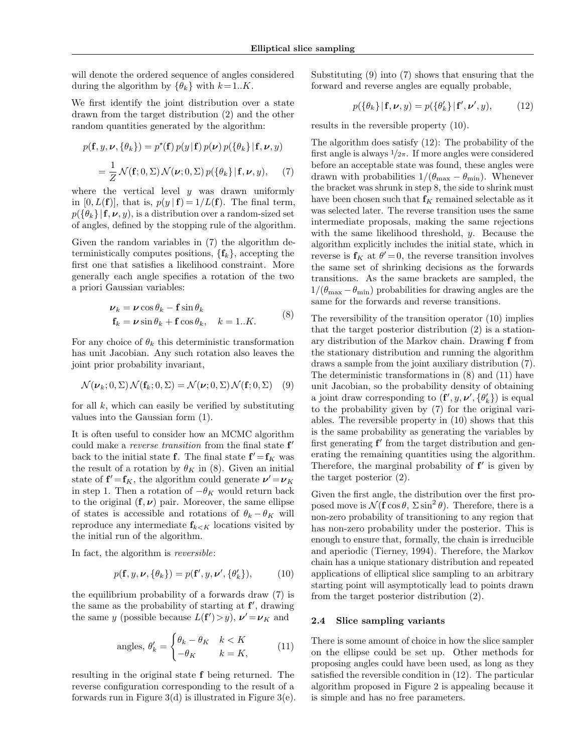will denote the ordered sequence of angles considered during the algorithm by  $\{\theta_k\}$  with  $k = 1..K$ .

We first identify the joint distribution over a state drawn from the target distribution (2) and the other random quantities generated by the algorithm:

$$
p(\mathbf{f}, y, \nu, \{\theta_k\}) = p^*(\mathbf{f}) p(y|\mathbf{f}) p(\nu) p(\{\theta_k\}|\mathbf{f}, \nu, y)
$$
  
= 
$$
\frac{1}{Z} \mathcal{N}(\mathbf{f}; 0, \Sigma) \mathcal{N}(\nu; 0, \Sigma) p(\{\theta_k\}|\mathbf{f}, \nu, y), \quad (7)
$$

where the vertical level  $y$  was drawn uniformly in [0,  $L(f)$ ], that is,  $p(y | f) = 1/L(f)$ . The final term,  $p(\lbrace \theta_k \rbrace | \mathbf{f}, \boldsymbol{\nu}, y)$ , is a distribution over a random-sized set of angles, defined by the stopping rule of the algorithm.

Given the random variables in (7) the algorithm deterministically computes positions,  $\{f_k\}$ , accepting the first one that satisfies a likelihood constraint. More generally each angle specifies a rotation of the two a priori Gaussian variables:

$$
\nu_k = \nu \cos \theta_k - \mathbf{f} \sin \theta_k \n\mathbf{f}_k = \nu \sin \theta_k + \mathbf{f} \cos \theta_k, \quad k = 1..K.
$$
\n(8)

For any choice of  $\theta_k$  this deterministic transformation has unit Jacobian. Any such rotation also leaves the joint prior probability invariant,

$$
\mathcal{N}(\boldsymbol{\nu}_k; 0, \Sigma) \mathcal{N}(\mathbf{f}_k; 0, \Sigma) = \mathcal{N}(\boldsymbol{\nu}; 0, \Sigma) \mathcal{N}(\mathbf{f}; 0, \Sigma) \tag{9}
$$

for all  $k$ , which can easily be verified by substituting values into the Gaussian form (1).

It is often useful to consider how an MCMC algorithm could make a *reverse transition* from the final state  $f'$ back to the initial state **f**. The final state  $f' = f_K$  was the result of a rotation by  $\theta_K$  in (8). Given an initial state of  $f' = f_K$ , the algorithm could generate  $\nu' = \nu_K$ in step 1. Then a rotation of  $-\theta_K$  would return back to the original  $(f, \nu)$  pair. Moreover, the same ellipse of states is accessible and rotations of  $\theta_k - \theta_K$  will reproduce any intermediate  $f_{k\lt K}$  locations visited by the initial run of the algorithm.

In fact, the algorithm is reversible:

$$
p(\mathbf{f}, y, \boldsymbol{\nu}, \{\theta_k\}) = p(\mathbf{f}', y, \boldsymbol{\nu}', \{\theta'_k\}), \tag{10}
$$

the equilibrium probability of a forwards draw (7) is the same as the probability of starting at  $f'$ , drawing the same y (possible because  $L(f') > y$ ),  $v' = v_K$  and

angles, 
$$
\theta'_{k} = \begin{cases} \theta_{k} - \theta_{K} & k < K \\ -\theta_{K} & k = K, \end{cases}
$$
 (11)

resulting in the original state f being returned. The reverse configuration corresponding to the result of a forwards run in Figure 3(d) is illustrated in Figure 3(e). Substituting (9) into (7) shows that ensuring that the forward and reverse angles are equally probable,

$$
p(\{\theta_k\}|\mathbf{f}, \boldsymbol{\nu}, y) = p(\{\theta'_k\}|\mathbf{f}', \boldsymbol{\nu}', y), \quad (12)
$$

results in the reversible property (10).

The algorithm does satisfy (12): The probability of the first angle is always  $1/2\pi$ . If more angles were considered before an acceptable state was found, these angles were drawn with probabilities  $1/(\theta_{\text{max}} - \theta_{\text{min}})$ . Whenever the bracket was shrunk in step 8, the side to shrink must have been chosen such that  $f_K$  remained selectable as it was selected later. The reverse transition uses the same intermediate proposals, making the same rejections with the same likelihood threshold, y. Because the algorithm explicitly includes the initial state, which in reverse is  $f_K$  at  $\theta' = 0$ , the reverse transition involves the same set of shrinking decisions as the forwards transitions. As the same brackets are sampled, the  $1/(\theta_{\text{max}} - \theta_{\text{min}})$  probabilities for drawing angles are the same for the forwards and reverse transitions.

The reversibility of the transition operator (10) implies that the target posterior distribution (2) is a stationary distribution of the Markov chain. Drawing f from the stationary distribution and running the algorithm draws a sample from the joint auxiliary distribution (7). The deterministic transformations in (8) and (11) have unit Jacobian, so the probability density of obtaining a joint draw corresponding to  $(\mathbf{f}', y, \boldsymbol{\nu}', \{\theta_k'\})$  is equal to the probability given by (7) for the original variables. The reversible property in (10) shows that this is the same probability as generating the variables by first generating  $f'$  from the target distribution and generating the remaining quantities using the algorithm. Therefore, the marginal probability of  $f'$  is given by the target posterior (2).

Given the first angle, the distribution over the first proposed move is  $\mathcal{N}(\mathbf{f} \cos \theta, \Sigma \sin^2 \theta)$ . Therefore, there is a non-zero probability of transitioning to any region that has non-zero probability under the posterior. This is enough to ensure that, formally, the chain is irreducible and aperiodic (Tierney, 1994). Therefore, the Markov chain has a unique stationary distribution and repeated applications of elliptical slice sampling to an arbitrary starting point will asymptotically lead to points drawn from the target posterior distribution (2).

#### 2.4 Slice sampling variants

There is some amount of choice in how the slice sampler on the ellipse could be set up. Other methods for proposing angles could have been used, as long as they satisfied the reversible condition in (12). The particular algorithm proposed in Figure 2 is appealing because it is simple and has no free parameters.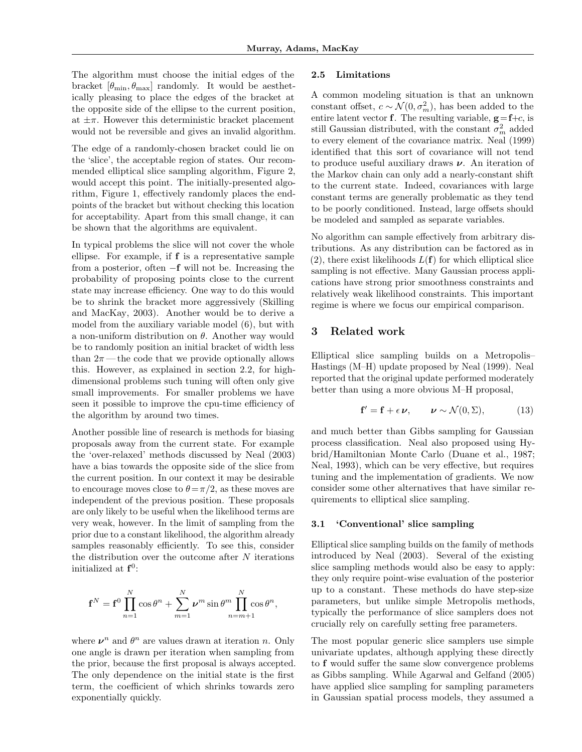The algorithm must choose the initial edges of the bracket  $[\theta_{\min}, \theta_{\max}]$  randomly. It would be aesthetically pleasing to place the edges of the bracket at the opposite side of the ellipse to the current position, at  $\pm\pi$ . However this deterministic bracket placement would not be reversible and gives an invalid algorithm.

The edge of a randomly-chosen bracket could lie on the 'slice', the acceptable region of states. Our recommended elliptical slice sampling algorithm, Figure 2, would accept this point. The initially-presented algorithm, Figure 1, effectively randomly places the endpoints of the bracket but without checking this location for acceptability. Apart from this small change, it can be shown that the algorithms are equivalent.

In typical problems the slice will not cover the whole ellipse. For example, if f is a representative sample from a posterior, often −f will not be. Increasing the probability of proposing points close to the current state may increase efficiency. One way to do this would be to shrink the bracket more aggressively (Skilling and MacKay, 2003). Another would be to derive a model from the auxiliary variable model (6), but with a non-uniform distribution on  $\theta$ . Another way would be to randomly position an initial bracket of width less than  $2\pi$ —the code that we provide optionally allows this. However, as explained in section 2.2, for highdimensional problems such tuning will often only give small improvements. For smaller problems we have seen it possible to improve the cpu-time efficiency of the algorithm by around two times.

Another possible line of research is methods for biasing proposals away from the current state. For example the 'over-relaxed' methods discussed by Neal (2003) have a bias towards the opposite side of the slice from the current position. In our context it may be desirable to encourage moves close to  $\theta = \pi/2$ , as these moves are independent of the previous position. These proposals are only likely to be useful when the likelihood terms are very weak, however. In the limit of sampling from the prior due to a constant likelihood, the algorithm already samples reasonably efficiently. To see this, consider the distribution over the outcome after  $N$  iterations initialized at  $f^0$ :

$$
\mathbf{f}^N = \mathbf{f}^0 \prod_{n=1}^N \cos \theta^n + \sum_{m=1}^N \nu^m \sin \theta^m \prod_{n=m+1}^N \cos \theta^n,
$$

where  $\nu^n$  and  $\theta^n$  are values drawn at iteration n. Only one angle is drawn per iteration when sampling from the prior, because the first proposal is always accepted. The only dependence on the initial state is the first term, the coefficient of which shrinks towards zero exponentially quickly.

### 2.5 Limitations

A common modeling situation is that an unknown constant offset,  $c \sim \mathcal{N}(0, \sigma_m^2)$ , has been added to the entire latent vector **f**. The resulting variable,  $g = f+c$ , is still Gaussian distributed, with the constant  $\sigma_m^2$  added to every element of the covariance matrix. Neal (1999) identified that this sort of covariance will not tend to produce useful auxiliary draws  $\nu$ . An iteration of the Markov chain can only add a nearly-constant shift to the current state. Indeed, covariances with large constant terms are generally problematic as they tend to be poorly conditioned. Instead, large offsets should be modeled and sampled as separate variables.

No algorithm can sample effectively from arbitrary distributions. As any distribution can be factored as in  $(2)$ , there exist likelihoods  $L(f)$  for which elliptical slice sampling is not effective. Many Gaussian process applications have strong prior smoothness constraints and relatively weak likelihood constraints. This important regime is where we focus our empirical comparison.

# 3 Related work

Elliptical slice sampling builds on a Metropolis– Hastings (M–H) update proposed by Neal (1999). Neal reported that the original update performed moderately better than using a more obvious M–H proposal,

$$
\mathbf{f}' = \mathbf{f} + \epsilon \, \boldsymbol{\nu}, \qquad \boldsymbol{\nu} \sim \mathcal{N}(0, \Sigma), \tag{13}
$$

and much better than Gibbs sampling for Gaussian process classification. Neal also proposed using Hybrid/Hamiltonian Monte Carlo (Duane et al., 1987; Neal, 1993), which can be very effective, but requires tuning and the implementation of gradients. We now consider some other alternatives that have similar requirements to elliptical slice sampling.

### 3.1 'Conventional' slice sampling

Elliptical slice sampling builds on the family of methods introduced by Neal (2003). Several of the existing slice sampling methods would also be easy to apply: they only require point-wise evaluation of the posterior up to a constant. These methods do have step-size parameters, but unlike simple Metropolis methods, typically the performance of slice samplers does not crucially rely on carefully setting free parameters.

The most popular generic slice samplers use simple univariate updates, although applying these directly to f would suffer the same slow convergence problems as Gibbs sampling. While Agarwal and Gelfand (2005) have applied slice sampling for sampling parameters in Gaussian spatial process models, they assumed a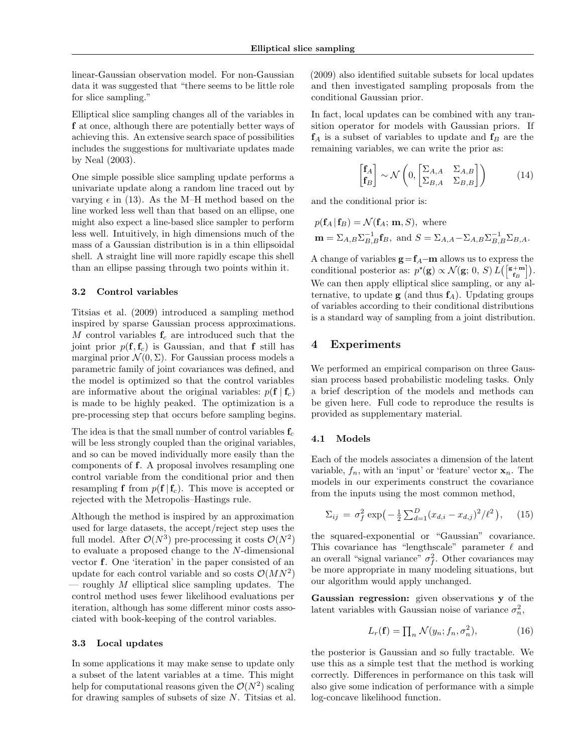linear-Gaussian observation model. For non-Gaussian data it was suggested that "there seems to be little role for slice sampling."

Elliptical slice sampling changes all of the variables in f at once, although there are potentially better ways of achieving this. An extensive search space of possibilities includes the suggestions for multivariate updates made by Neal (2003).

One simple possible slice sampling update performs a univariate update along a random line traced out by varying  $\epsilon$  in (13). As the M–H method based on the line worked less well than that based on an ellipse, one might also expect a line-based slice sampler to perform less well. Intuitively, in high dimensions much of the mass of a Gaussian distribution is in a thin ellipsoidal shell. A straight line will more rapidly escape this shell than an ellipse passing through two points within it.

### 3.2 Control variables

Titsias et al. (2009) introduced a sampling method inspired by sparse Gaussian process approximations. M control variables  $f_c$  are introduced such that the joint prior  $p(\mathbf{f}, \mathbf{f}_c)$  is Gaussian, and that f still has marginal prior  $\mathcal{N}(0, \Sigma)$ . For Gaussian process models a parametric family of joint covariances was defined, and the model is optimized so that the control variables are informative about the original variables:  $p(\mathbf{f} \mid \mathbf{f}_c)$ is made to be highly peaked. The optimization is a pre-processing step that occurs before sampling begins.

The idea is that the small number of control variables  $f_c$ will be less strongly coupled than the original variables, and so can be moved individually more easily than the components of f. A proposal involves resampling one control variable from the conditional prior and then resampling f from  $p(f | f_c)$ . This move is accepted or rejected with the Metropolis–Hastings rule.

Although the method is inspired by an approximation used for large datasets, the accept/reject step uses the full model. After  $\mathcal{O}(N^3)$  pre-processing it costs  $\mathcal{O}(N^2)$ to evaluate a proposed change to the N-dimensional vector f. One 'iteration' in the paper consisted of an update for each control variable and so costs  $\mathcal{O}(MN^2)$  $-$  roughly  $M$  elliptical slice sampling updates. The control method uses fewer likelihood evaluations per iteration, although has some different minor costs associated with book-keeping of the control variables.

#### 3.3 Local updates

In some applications it may make sense to update only a subset of the latent variables at a time. This might help for computational reasons given the  $\mathcal{O}(N^2)$  scaling for drawing samples of subsets of size N. Titsias et al. (2009) also identified suitable subsets for local updates and then investigated sampling proposals from the conditional Gaussian prior.

In fact, local updates can be combined with any transition operator for models with Gaussian priors. If  $f_A$  is a subset of variables to update and  $f_B$  are the remaining variables, we can write the prior as:

$$
\begin{bmatrix} \mathbf{f}_A \\ \mathbf{f}_B \end{bmatrix} \sim \mathcal{N} \left( 0, \begin{bmatrix} \Sigma_{A,A} & \Sigma_{A,B} \\ \Sigma_{B,A} & \Sigma_{B,B} \end{bmatrix} \right) \tag{14}
$$

and the conditional prior is:

$$
p(\mathbf{f}_A | \mathbf{f}_B) = \mathcal{N}(\mathbf{f}_A; \mathbf{m}, S), \text{ where}
$$
  

$$
\mathbf{m} = \Sigma_{A,B} \Sigma_{B,B}^{-1} \mathbf{f}_B, \text{ and } S = \Sigma_{A,A} - \Sigma_{A,B} \Sigma_{B,B}^{-1} \Sigma_{B,A}.
$$

A change of variables  $g = f_A - m$  allows us to express the conditional posterior as:  $p^*(\mathbf{g}) \propto \mathcal{N}(\mathbf{g}; 0, S) L([\mathbf{s+m}]\mathbf{g}).$ We can then apply elliptical slice sampling, or any alternative, to update  $g$  (and thus  $f_A$ ). Updating groups of variables according to their conditional distributions is a standard way of sampling from a joint distribution.

## 4 Experiments

We performed an empirical comparison on three Gaussian process based probabilistic modeling tasks. Only a brief description of the models and methods can be given here. Full code to reproduce the results is provided as supplementary material.

#### 4.1 Models

Each of the models associates a dimension of the latent variable,  $f_n$ , with an 'input' or 'feature' vector  $x_n$ . The models in our experiments construct the covariance from the inputs using the most common method,

$$
\Sigma_{ij} = \sigma_f^2 \exp\left(-\frac{1}{2}\sum_{d=1}^D (x_{d,i} - x_{d,j})^2 / \ell^2\right), \quad (15)
$$

the squared-exponential or "Gaussian" covariance. This covariance has "lengthscale" parameter  $\ell$  and an overall "signal variance"  $\sigma_f^2$ . Other covariances may be more appropriate in many modeling situations, but our algorithm would apply unchanged.

Gaussian regression: given observations y of the latent variables with Gaussian noise of variance  $\sigma_n^2$ ,

$$
L_r(\mathbf{f}) = \prod_n \mathcal{N}(y_n; f_n, \sigma_n^2),\tag{16}
$$

the posterior is Gaussian and so fully tractable. We use this as a simple test that the method is working correctly. Differences in performance on this task will also give some indication of performance with a simple log-concave likelihood function.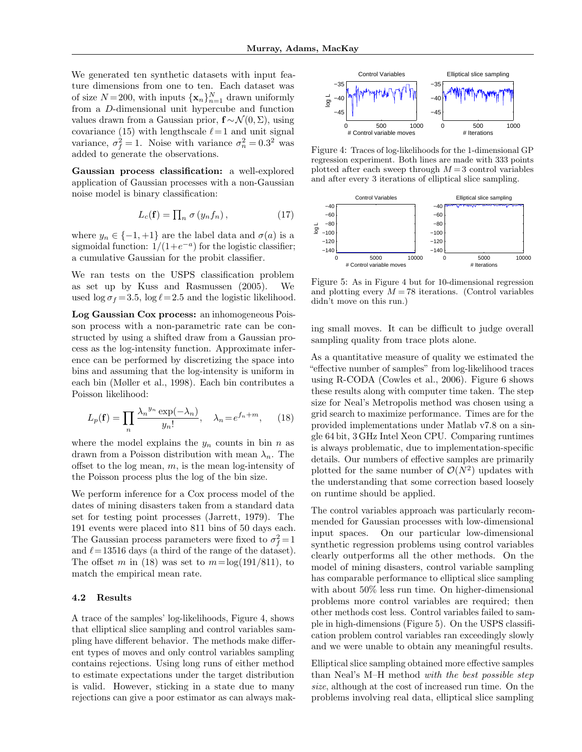We generated ten synthetic datasets with input feature dimensions from one to ten. Each dataset was of size  $N=200$ , with inputs  $\{\mathbf{x}_n\}_{n=1}^N$  drawn uniformly from a D-dimensional unit hypercube and function values drawn from a Gaussian prior,  $f \sim \mathcal{N}(0, \Sigma)$ , using covariance (15) with lengthscale  $\ell = 1$  and unit signal variance,  $\sigma_f^2 = 1$ . Noise with variance  $\sigma_n^2 = 0.3^2$  was added to generate the observations.

Gaussian process classification: a well-explored application of Gaussian processes with a non-Gaussian noise model is binary classification:

$$
L_c(\mathbf{f}) = \prod_n \sigma(y_n f_n), \qquad (17)
$$

where  $y_n \in \{-1, +1\}$  are the label data and  $\sigma(a)$  is a sigmoidal function:  $1/(1+e^{-a})$  for the logistic classifier; a cumulative Gaussian for the probit classifier.

We ran tests on the USPS classification problem as set up by Kuss and Rasmussen (2005). We used  $\log \sigma_f = 3.5$ ,  $\log \ell = 2.5$  and the logistic likelihood.

Log Gaussian Cox process: an inhomogeneous Poisson process with a non-parametric rate can be constructed by using a shifted draw from a Gaussian process as the log-intensity function. Approximate inference can be performed by discretizing the space into bins and assuming that the log-intensity is uniform in each bin (Møller et al., 1998). Each bin contributes a Poisson likelihood:

$$
L_p(\mathbf{f}) = \prod_n \frac{\lambda_n^{y_n} \exp(-\lambda_n)}{y_n!}, \quad \lambda_n = e^{f_n + m}, \qquad (18)
$$

where the model explains the  $y_n$  counts in bin n as drawn from a Poisson distribution with mean  $\lambda_n$ . The offset to the log mean,  $m$ , is the mean log-intensity of the Poisson process plus the log of the bin size.

We perform inference for a Cox process model of the dates of mining disasters taken from a standard data set for testing point processes (Jarrett, 1979). The 191 events were placed into 811 bins of 50 days each. The Gaussian process parameters were fixed to  $\sigma_f^2 = 1$ and  $\ell = 13516$  days (a third of the range of the dataset). The offset m in (18) was set to  $m = \log(191/811)$ , to match the empirical mean rate.

#### 4.2 Results

A trace of the samples' log-likelihoods, Figure 4, shows that elliptical slice sampling and control variables sampling have different behavior. The methods make different types of moves and only control variables sampling contains rejections. Using long runs of either method to estimate expectations under the target distribution is valid. However, sticking in a state due to many rejections can give a poor estimator as can always mak-



Figure 4: Traces of log-likelihoods for the 1-dimensional GP regression experiment. Both lines are made with 333 points plotted after each sweep through  $M = 3$  control variables and after every 3 iterations of elliptical slice sampling.



Figure 5: As in Figure 4 but for 10-dimensional regression and plotting every  $M = 78$  iterations. (Control variables didn't move on this run.)

ing small moves. It can be difficult to judge overall sampling quality from trace plots alone.

As a quantitative measure of quality we estimated the "effective number of samples" from log-likelihood traces using R-CODA (Cowles et al., 2006). Figure 6 shows these results along with computer time taken. The step size for Neal's Metropolis method was chosen using a grid search to maximize performance. Times are for the provided implementations under Matlab v7.8 on a single 64 bit, 3 GHz Intel Xeon CPU. Comparing runtimes is always problematic, due to implementation-specific details. Our numbers of effective samples are primarily plotted for the same number of  $\mathcal{O}(N^2)$  updates with the understanding that some correction based loosely on runtime should be applied.

The control variables approach was particularly recommended for Gaussian processes with low-dimensional input spaces. On our particular low-dimensional synthetic regression problems using control variables clearly outperforms all the other methods. On the model of mining disasters, control variable sampling has comparable performance to elliptical slice sampling with about 50% less run time. On higher-dimensional problems more control variables are required; then other methods cost less. Control variables failed to sample in high-dimensions (Figure 5). On the USPS classification problem control variables ran exceedingly slowly and we were unable to obtain any meaningful results.

Elliptical slice sampling obtained more effective samples than Neal's M–H method with the best possible step size, although at the cost of increased run time. On the problems involving real data, elliptical slice sampling